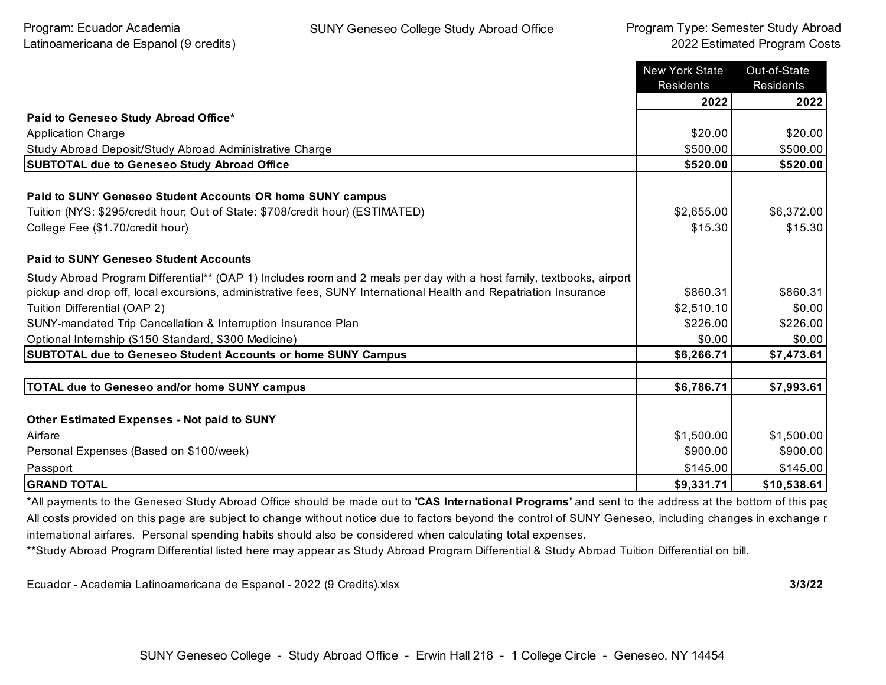|                                                                                                                                                   | <b>New York State</b><br><b>Residents</b> | Out-of-State<br><b>Residents</b> |
|---------------------------------------------------------------------------------------------------------------------------------------------------|-------------------------------------------|----------------------------------|
|                                                                                                                                                   | 2022                                      | 2022                             |
| Paid to Geneseo Study Abroad Office*                                                                                                              |                                           |                                  |
| <b>Application Charge</b>                                                                                                                         | \$20.00                                   | \$20.00                          |
| Study Abroad Deposit/Study Abroad Administrative Charge                                                                                           | \$500.00                                  | \$500.00                         |
| <b>SUBTOTAL due to Geneseo Study Abroad Office</b>                                                                                                | \$520.00                                  | \$520.00                         |
| <b>Paid to SUNY Geneseo Student Accounts OR home SUNY campus</b><br>Tuition (NYS: \$295/credit hour; Out of State: \$708/credit hour) (ESTIMATED) | \$2,655.00                                | \$6,372.00                       |
| College Fee (\$1.70/credit hour)                                                                                                                  | \$15.30                                   | \$15.30                          |
|                                                                                                                                                   |                                           |                                  |
| <b>Paid to SUNY Geneseo Student Accounts</b>                                                                                                      |                                           |                                  |
| Study Abroad Program Differential** (OAP 1) Includes room and 2 meals per day with a host family, textbooks, airport                              |                                           |                                  |
| pickup and drop off, local excursions, administrative fees, SUNY International Health and Repatriation Insurance                                  | \$860.31                                  | \$860.31                         |
| Tuition Differential (OAP 2)                                                                                                                      | \$2,510.10                                | \$0.00                           |
| SUNY-mandated Trip Cancellation & Interruption Insurance Plan                                                                                     | \$226.00                                  | \$226.00                         |
| Optional Internship (\$150 Standard, \$300 Medicine)                                                                                              | \$0.00                                    | \$0.00                           |
| <b>SUBTOTAL due to Geneseo Student Accounts or home SUNY Campus</b>                                                                               | \$6,266.71                                | \$7,473.61                       |
|                                                                                                                                                   |                                           |                                  |
| <b>TOTAL due to Geneseo and/or home SUNY campus</b>                                                                                               | \$6,786.71                                | \$7,993.61                       |
|                                                                                                                                                   |                                           |                                  |
| <b>Other Estimated Expenses - Not paid to SUNY</b>                                                                                                |                                           |                                  |
| Airfare                                                                                                                                           | \$1,500.00                                | \$1,500.00                       |
| Personal Expenses (Based on \$100/week)                                                                                                           | \$900.00                                  | \$900.00                         |
| Passport                                                                                                                                          | \$145.00                                  | \$145.00                         |
| <b>GRAND TOTAL</b>                                                                                                                                | \$9,331.71                                | \$10,538.61                      |

\*All payments to the Geneseo Study Abroad Office should be made out to **'CAS International Programs'** and sent to the address at the bottom of this page. All costs provided on this page are subject to change without notice due to factors beyond the control of SUNY Geneseo, including changes in exchange r international airfares. Personal spending habits should also be considered when calculating total expenses.

\*\*Study Abroad Program Differential listed here may appear as Study Abroad Program Differential & Study Abroad Tuition Differential on bill.

Ecuador - Academia Latinoamericana de Espanol - 2022 (9 Credits).xlsx **3/3/22**